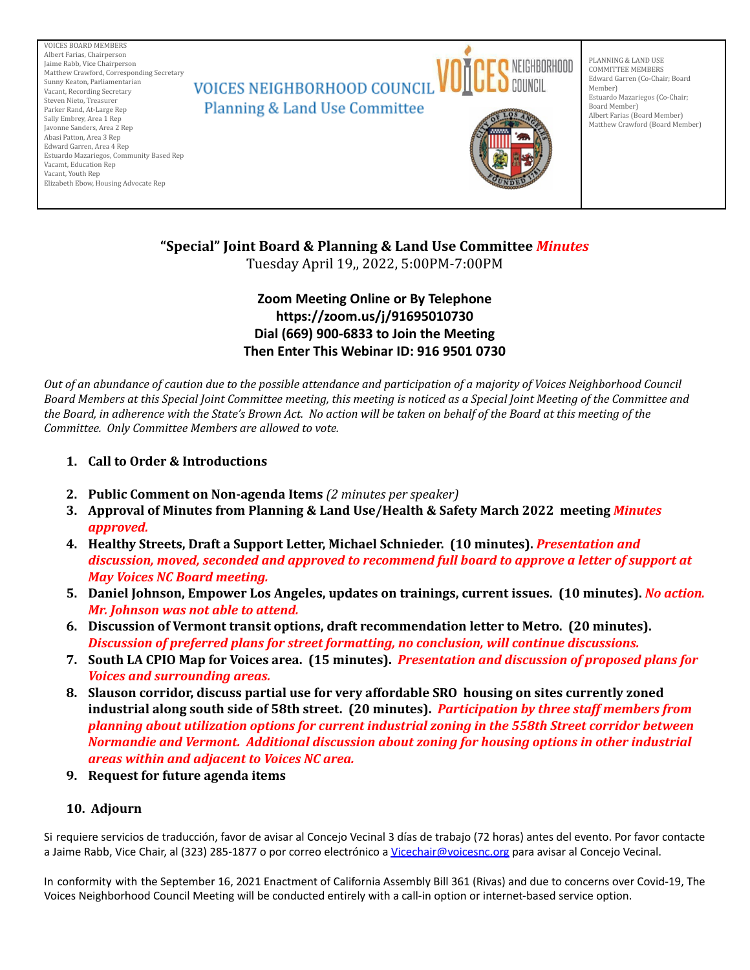

# **"Special" Joint Board & Planning & Land Use Committee** *Minutes*

Tuesday April 19,, 2022, 5:00PM-7:00PM

## **Zoom Meeting Online or By Telephone https://zoom.us/j/91695010730 Dial (669) 900-6833 to Join the Meeting Then Enter This Webinar ID: 916 9501 0730**

Out of an abundance of caution due to the possible attendance and participation of a majority of Voices Neighborhood Council Board Members at this Special Joint Committee meeting, this meeting is noticed as a Special Joint Meeting of the Committee and the Board, in adherence with the State's Brown Act. No action will be taken on behalf of the Board at this meeting of the *Committee. Only Committee Members are allowed to vote.*

- **1. Call to Order & Introductions**
- **2. Public Comment on Non-agenda Items** *(2 minutes per speaker)*
- **3. Approval of Minutes from Planning & Land Use/Health & Safety March 2022 meeting** *Minutes approved.*
- **4. Healthy Streets, Draft a Support Letter, Michael Schnieder. (10 minutes).** *Presentation and discussion, moved, seconded and approved to recommend full board to approve a letter of support at May Voices NC Board meeting.*
- **5. Daniel Johnson, Empower Los Angeles, updates on trainings, current issues. (10 minutes).** *No action. Mr. Johnson was not able to attend.*
- **6. Discussion of Vermont transit options, draft recommendation letter to Metro. (20 minutes).** *Discussion of preferred plans for street formatting, no conclusion, will continue discussions.*
- **7. South LA CPIO Map for Voices area. (15 minutes).** *Presentation and discussion of proposed plans for Voices and surrounding areas.*
- **8. Slauson corridor, discuss partial use for very affordable SRO housing on sites currently zoned industrial along south side of 58th street. (20 minutes).** *Participation by three staff members from planning about utilization options for current industrial zoning in the 558th Street corridor between Normandie and Vermont. Additional discussion about zoning for housing options in other industrial areas within and adjacent to Voices NC area.*
- **9. Request for future agenda items**

### **10. Adjourn**

Si requiere servicios de traducción, favor de avisar al Concejo Vecinal 3 días de trabajo (72 horas) antes del evento. Por favor contacte a Jaime Rabb, Vice Chair, al (323) 285-1877 o por correo electrónico a [Vicechair@voicesnc.org](mailto:VNCCorrSec18@gmail.com) para avisar al Concejo Vecinal.

In conformity with the September 16, 2021 Enactment of California Assembly Bill 361 (Rivas) and due to concerns over Covid-19, The Voices Neighborhood Council Meeting will be conducted entirely with a call-in option or internet-based service option.